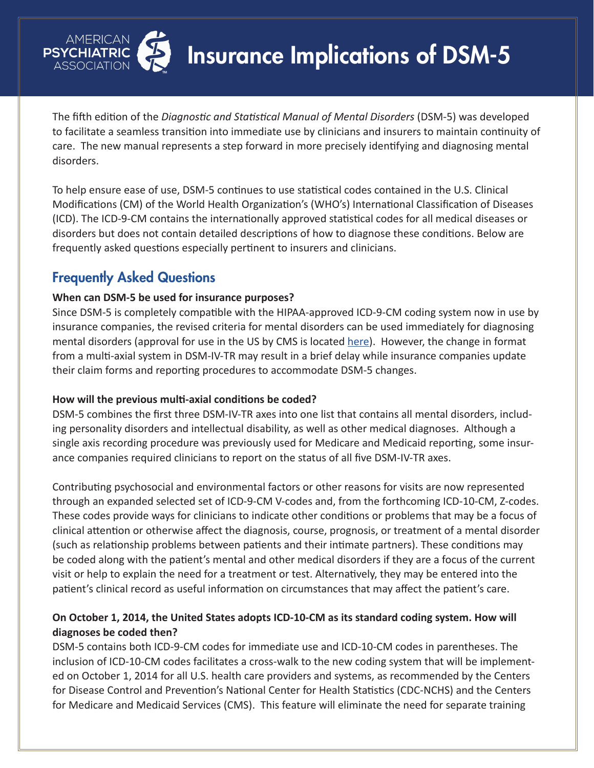

The fifth edition of the *Diagnostic and Statistical Manual of Mental Disorders* (DSM-5) was developed to facilitate a seamless transition into immediate use by clinicians and insurers to maintain continuity of care. The new manual represents a step forward in more precisely identifying and diagnosing mental disorders.

To help ensure ease of use, DSM-5 continues to use statistical codes contained in the U.S. Clinical Modifications (CM) of the World Health Organization's (WHO's) International Classification of Diseases (ICD). The ICD-9-CM contains the internationally approved statistical codes for all medical diseases or disorders but does not contain detailed descriptions of how to diagnose these conditions. Below are frequently asked questions especially pertinent to insurers and clinicians.

# Frequently Asked Questions

# **When can DSM-5 be used for insurance purposes?**

Since DSM-5 is completely compatible with the HIPAA-approved ICD-9-CM coding system now in use by insurance companies, the revised criteria for mental disorders can be used immediately for diagnosing mental disorders (approval for use in the US by CMS is located [here\)](https://questions.cms.gov/faq.php?id=5005&faqId=1817). However, the change in format from a multi-axial system in DSM-IV-TR may result in a brief delay while insurance companies update their claim forms and reporting procedures to accommodate DSM-5 changes.

# **How will the previous multi-axial conditions be coded?**

DSM-5 combines the first three DSM-IV-TR axes into one list that contains all mental disorders, including personality disorders and intellectual disability, as well as other medical diagnoses. Although a single axis recording procedure was previously used for Medicare and Medicaid reporting, some insurance companies required clinicians to report on the status of all five DSM-IV-TR axes.

Contributing psychosocial and environmental factors or other reasons for visits are now represented through an expanded selected set of ICD-9-CM V-codes and, from the forthcoming ICD-10-CM, Z-codes. These codes provide ways for clinicians to indicate other conditions or problems that may be a focus of clinical attention or otherwise affect the diagnosis, course, prognosis, or treatment of a mental disorder (such as relationship problems between patients and their intimate partners). These conditions may be coded along with the patient's mental and other medical disorders if they are a focus of the current visit or help to explain the need for a treatment or test. Alternatively, they may be entered into the patient's clinical record as useful information on circumstances that may affect the patient's care.

# **On October 1, 2014, the United States adopts ICD-10-CM as its standard coding system. How will diagnoses be coded then?**

DSM-5 contains both ICD-9-CM codes for immediate use and ICD-10-CM codes in parentheses. The inclusion of ICD-10-CM codes facilitates a cross-walk to the new coding system that will be implemented on October 1, 2014 for all U.S. health care providers and systems, as recommended by the Centers for Disease Control and Prevention's National Center for Health Statistics (CDC-NCHS) and the Centers for Medicare and Medicaid Services (CMS). This feature will eliminate the need for separate training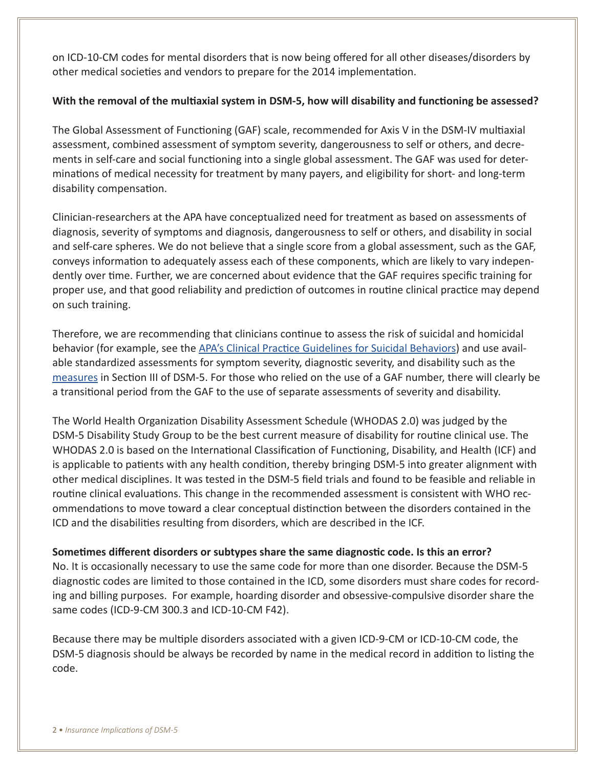on ICD-10-CM codes for mental disorders that is now being offered for all other diseases/disorders by other medical societies and vendors to prepare for the 2014 implementation.

### **With the removal of the multiaxial system in DSM-5, how will disability and functioning be assessed?**

The Global Assessment of Functioning (GAF) scale, recommended for Axis V in the DSM-IV multiaxial assessment, combined assessment of symptom severity, dangerousness to self or others, and decrements in self-care and social functioning into a single global assessment. The GAF was used for determinations of medical necessity for treatment by many payers, and eligibility for short- and long-term disability compensation.

Clinician-researchers at the APA have conceptualized need for treatment as based on assessments of diagnosis, severity of symptoms and diagnosis, dangerousness to self or others, and disability in social and self-care spheres. We do not believe that a single score from a global assessment, such as the GAF, conveys information to adequately assess each of these components, which are likely to vary independently over time. Further, we are concerned about evidence that the GAF requires specific training for proper use, and that good reliability and prediction of outcomes in routine clinical practice may depend on such training.

Therefore, we are recommending that clinicians continue to assess the risk of suicidal and homicidal behavior (for example, see the [APA's Clinical Practice Guidelines for Suicidal Behaviors](http://www.psychiatry.org/practice/clinical-practice-guidelines)) and use available standardized assessments for symptom severity, diagnostic severity, and disability such as the [measures](http://www.psychiatry.org/practice/dsm/dsm5/online-assessment-measures) in Section III of DSM-5. For those who relied on the use of a GAF number, there will clearly be a transitional period from the GAF to the use of separate assessments of severity and disability.

The World Health Organization Disability Assessment Schedule (WHODAS 2.0) was judged by the DSM-5 Disability Study Group to be the best current measure of disability for routine clinical use. The WHODAS 2.0 is based on the International Classification of Functioning, Disability, and Health (ICF) and is applicable to patients with any health condition, thereby bringing DSM-5 into greater alignment with other medical disciplines. It was tested in the DSM-5 field trials and found to be feasible and reliable in routine clinical evaluations. This change in the recommended assessment is consistent with WHO recommendations to move toward a clear conceptual distinction between the disorders contained in the ICD and the disabilities resulting from disorders, which are described in the ICF.

#### **Sometimes different disorders or subtypes share the same diagnostic code. Is this an error?**

No. It is occasionally necessary to use the same code for more than one disorder. Because the DSM-5 diagnostic codes are limited to those contained in the ICD, some disorders must share codes for recording and billing purposes. For example, hoarding disorder and obsessive-compulsive disorder share the same codes (ICD-9-CM 300.3 and ICD-10-CM F42).

Because there may be multiple disorders associated with a given ICD-9-CM or ICD-10-CM code, the DSM-5 diagnosis should be always be recorded by name in the medical record in addition to listing the code.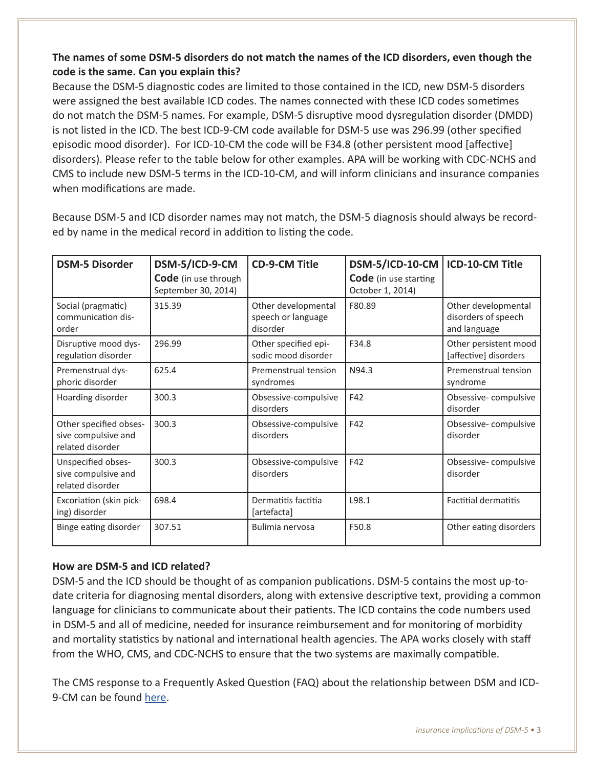## **The names of some DSM-5 disorders do not match the names of the ICD disorders, even though the code is the same. Can you explain this?**

Because the DSM-5 diagnostic codes are limited to those contained in the ICD, new DSM-5 disorders were assigned the best available ICD codes. The names connected with these ICD codes sometimes do not match the DSM-5 names. For example, DSM-5 disruptive mood dysregulation disorder (DMDD) is not listed in the ICD. The best ICD-9-CM code available for DSM-5 use was 296.99 (other specified episodic mood disorder). For ICD-10-CM the code will be F34.8 (other persistent mood [affective] disorders). Please refer to the table below for other examples. APA will be working with CDC-NCHS and CMS to include new DSM-5 terms in the ICD-10-CM, and will inform clinicians and insurance companies when modifications are made.

Because DSM-5 and ICD disorder names may not match, the DSM-5 diagnosis should always be recorded by name in the medical record in addition to listing the code.

| <b>DSM-5 Disorder</b>                                             | DSM-5/ICD-9-CM<br><b>Code</b> (in use through<br>September 30, 2014) | <b>CD-9-CM Title</b>                                  | DSM-5/ICD-10-CM   ICD-10-CM Title<br><b>Code</b> (in use starting<br>October 1, 2014) |                                                            |
|-------------------------------------------------------------------|----------------------------------------------------------------------|-------------------------------------------------------|---------------------------------------------------------------------------------------|------------------------------------------------------------|
| Social (pragmatic)<br>communication dis-<br>order                 | 315.39                                                               | Other developmental<br>speech or language<br>disorder | F80.89                                                                                | Other developmental<br>disorders of speech<br>and language |
| Disruptive mood dys-<br>regulation disorder                       | 296.99                                                               | Other specified epi-<br>sodic mood disorder           | F34.8                                                                                 | Other persistent mood<br>[affective] disorders             |
| Premenstrual dys-<br>phoric disorder                              | 625.4                                                                | Premenstrual tension<br>syndromes                     | N94.3                                                                                 | Premenstrual tension<br>syndrome                           |
| Hoarding disorder                                                 | 300.3                                                                | Obsessive-compulsive<br>disorders                     | F42                                                                                   | Obsessive-compulsive<br>disorder                           |
| Other specified obses-<br>sive compulsive and<br>related disorder | 300.3                                                                | Obsessive-compulsive<br>disorders                     | F42                                                                                   | Obsessive-compulsive<br>disorder                           |
| Unspecified obses-<br>sive compulsive and<br>related disorder     | 300.3                                                                | Obsessive-compulsive<br>disorders                     | F42                                                                                   | Obsessive-compulsive<br>disorder                           |
| Excoriation (skin pick-<br>ing) disorder                          | 698.4                                                                | Dermatitis factitia<br>[artefacta]                    | L98.1                                                                                 | Factitial dermatitis                                       |
| Binge eating disorder                                             | 307.51                                                               | Bulimia nervosa                                       | F50.8                                                                                 | Other eating disorders                                     |

## **How are DSM-5 and ICD related?**

DSM-5 and the ICD should be thought of as companion publications. DSM-5 contains the most up-todate criteria for diagnosing mental disorders, along with extensive descriptive text, providing a common language for clinicians to communicate about their patients. The ICD contains the code numbers used in DSM-5 and all of medicine, needed for insurance reimbursement and for monitoring of morbidity and mortality statistics by national and international health agencies. The APA works closely with staff from the WHO, CMS, and CDC-NCHS to ensure that the two systems are maximally compatible.

The CMS response to a Frequently Asked Question (FAQ) about the relationship between DSM and ICD9-CM can be found [here](https://questions.cms.gov/faq.php?id=5005&faqId=1817).